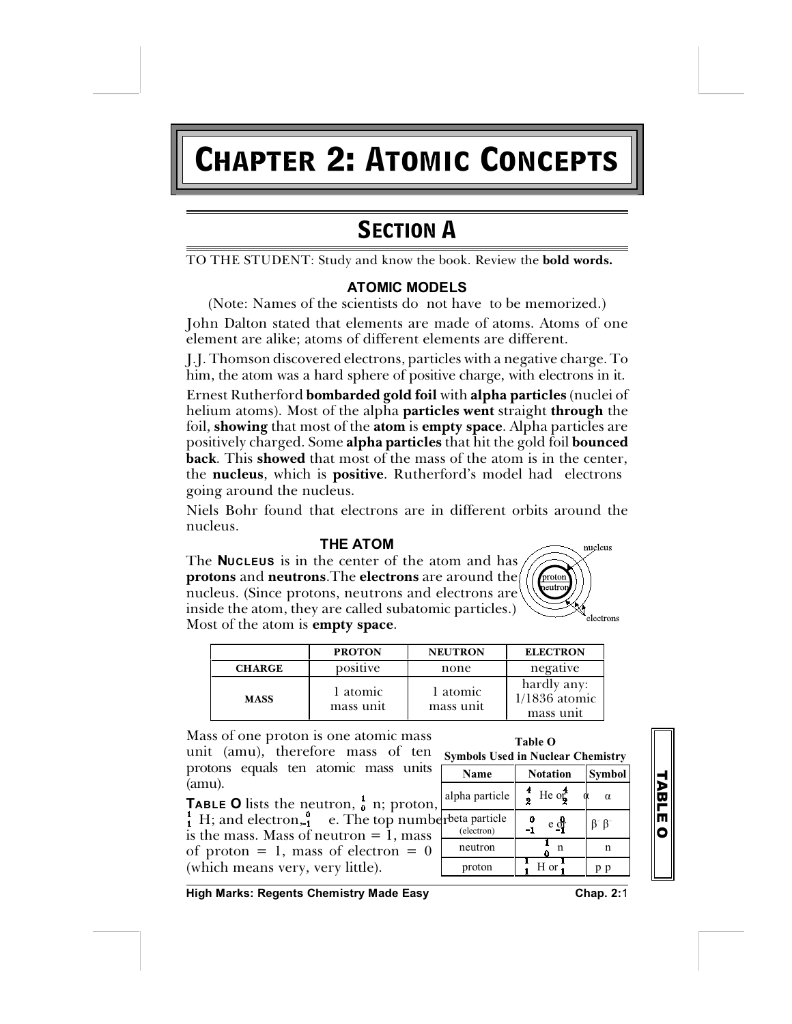# **Chapter 2: Atomic Concepts**

# **SECTION A**

TO THE STUDENT: Study and know the book. Review the **bold words.**

# **ATOMIC MODELS**

(Note: Names of the scientists do not have to be memorized.) John Dalton stated that elements are made of atoms. Atoms of one element are alike; atoms of different elements are different.

J.J. Thomson discovered electrons, particles with a negative charge. To him, the atom was a hard sphere of positive charge, with electrons in it.

Ernest Rutherford **bombarded gold foil** with **alpha particles** (nuclei of helium atoms). Most of the alpha **particles went** straight **through** the foil, **showing** that most of the **atom** is **empty space**. Alpha particles are positively charged. Some **alpha particles** that hit the gold foil **bounced back**. This **showed** that most of the mass of the atom is in the center, the **nucleus**, which is **positive**. Rutherford's model had electrons going around the nucleus.

Niels Bohr found that electrons are in different orbits around the nucleus.

# **THE ATOM**

The **NUCLEUS** is in the center of the atom and has **protons** and **neutrons**.The **electrons** are around the nucleus. (Since protons, neutrons and electrons are inside the atom, they are called subatomic particles.) Most of the atom is **empty space**.

| ιS<br>proton<br>e<br>neutron<br>e | nucleus<br>electrons |
|-----------------------------------|----------------------|
|                                   |                      |
|                                   |                      |

|               | <b>PROTON</b>         | <b>NEUTRON</b>        | <b>ELECTRON</b>                             |
|---------------|-----------------------|-----------------------|---------------------------------------------|
| <b>CHARGE</b> | positive              | none                  | negative                                    |
| <b>MASS</b>   | 1 atomic<br>mass unit | 1 atomic<br>mass unit | hardly any:<br>$1/1836$ atomic<br>mass unit |

Mass of one proton is one atomic mass unit (amu), therefore mass of ten protons equals ten atomic mass units (amu).

H; and electron,  $\int_{1}^{\infty}$  e. The top number beta particle **TABLE O** lists the neutron,  $\frac{1}{0}$  n; proton, is the mass. Mass of neutron = 1, mass of proton  $= 1$ , mass of electron  $= 0$ (which means very, very little).



**T A B L E O**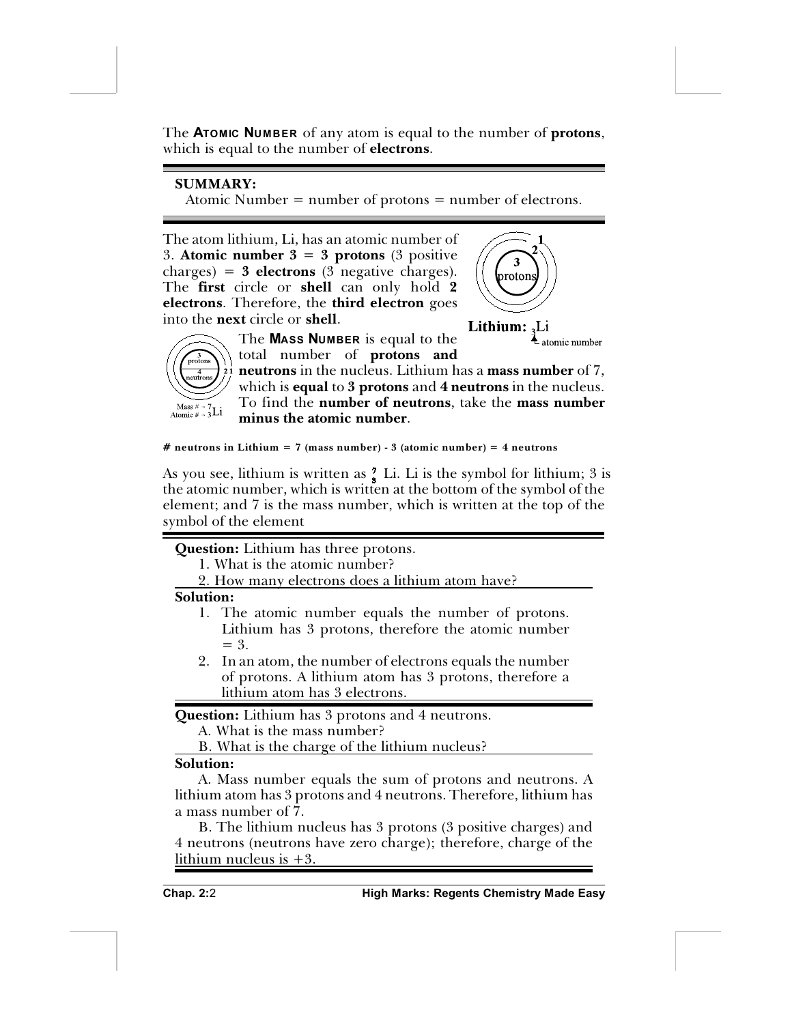The **ATOMIC NUMBER** of any atom is equal to the number of **protons**, which is equal to the number of **electrons**.

# **SUMMARY:**

Atomic Number = number of protons = number of electrons.

The atom lithium, Li, has an atomic number of 3. **Atomic number 3** = **3 protons** (3 positive  $\langle \text{charges} \rangle = 3$  **electrons** (3 negative charges). The **first** circle or **shell** can only hold **2 electrons**. Therefore, the **third electron** goes into the **next** circle or **shell**.







The **MASS NUMBER** is equal to the total number of **protons and**

**neutrons** in the nucleus. Lithium has a **mass number** of 7, which is **equal** to **3 protons** and **4 neutrons** in the nucleus. To find the **number of neutrons**, take the **mass number minus the atomic number**.

#### **# neutrons in Lithium = 7 (mass number) - 3 (atomic number) = 4 neutrons**

As you see, lithium is written as  $\frac{7}{8}$  Li. Li is the symbol for lithium; 3 is the atomic number, which is written at the bottom of the symbol of the element; and 7 is the mass number, which is written at the top of the symbol of the element

#### **Question:** Lithium has three protons.

- 1. What is the atomic number?
- 2. How many electrons does a lithium atom have?

#### **Solution:**

- 1. The atomic number equals the number of protons. Lithium has 3 protons, therefore the atomic number  $=$  3.
- 2. In an atom, the number of electrons equals the number of protons. A lithium atom has 3 protons, therefore a lithium atom has 3 electrons.

**Question:** Lithium has 3 protons and 4 neutrons.

A. What is the mass number?

B. What is the charge of the lithium nucleus?

#### **Solution:**

A. Mass number equals the sum of protons and neutrons. A lithium atom has 3 protons and 4 neutrons. Therefore, lithium has a mass number of 7.

B. The lithium nucleus has 3 protons (3 positive charges) and 4 neutrons (neutrons have zero charge); therefore, charge of the lithium nucleus is +3.

**Chap. 2:**2 **High Marks: Regents Chemistry Made Easy**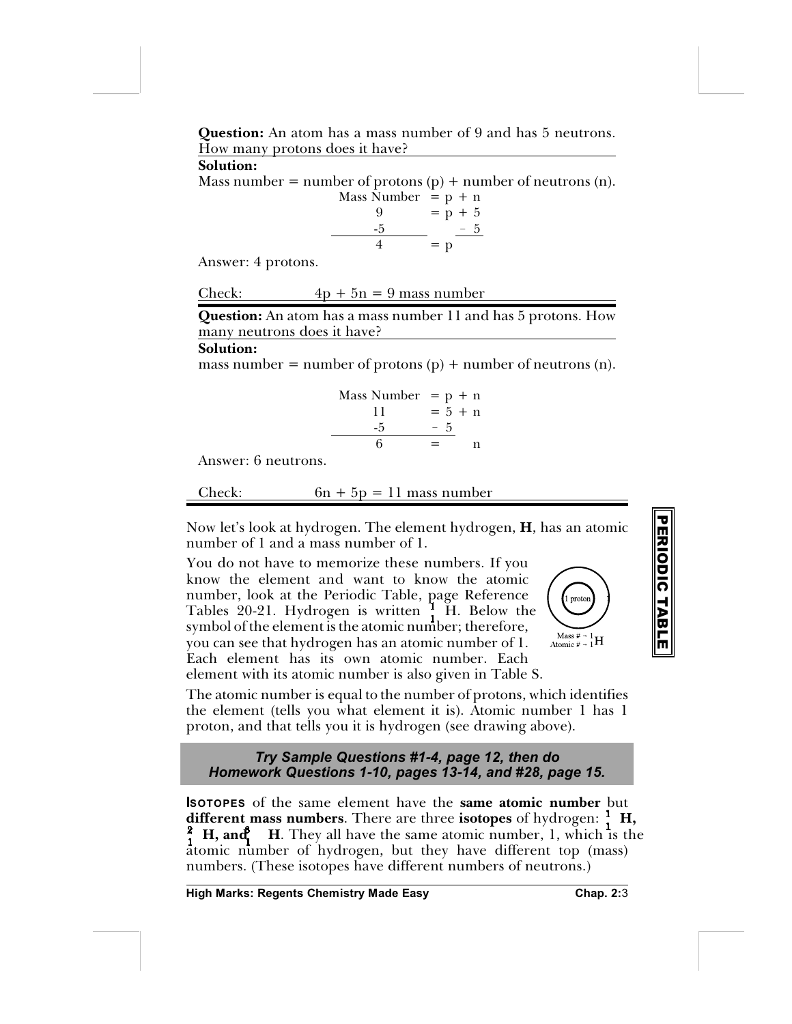**Question:** An atom has a mass number of 9 and has 5 neutrons. How many protons does it have?

**Solution:**

Mass number = number of protons  $(p)$  + number of neutrons  $(n)$ .

Mass Number = p + n  
\n
$$
9 = p + 5
$$
\n
$$
-\frac{5}{4} = p
$$

Answer: 4 protons.

| Check: |  |  | $4p + 5n = 9$ mass number |  |
|--------|--|--|---------------------------|--|
|        |  |  |                           |  |

**Question:** An atom has a mass number 11 and has 5 protons. How many neutrons does it have?

#### **Solution:**

mass number = number of protons  $(p)$  + number of neutrons  $(n)$ .

Mass Number = p + n 11 = 5 + n -5 ! 5 6 = n

Answer: 6 neutrons.

Check:  $6n + 5p = 11$  mass number

Now let's look at hydrogen. The element hydrogen, **H**, has an atomic number of 1 and a mass number of 1.

You do not have to memorize these numbers. If you know the element and want to know the atomic number, look at the Periodic Table, page Reference Tables 20-21. Hydrogen is written  $\frac{1}{1}$  H. Below the symbol of the element is the atomic number; therefore, you can see that hydrogen has an atomic number of 1. Each element has its own atomic number. Each element with its atomic number is also given in Table S.



**P E RIO**

**DIC**

**T A**

**B L E**

The atomic number is equal to the number of protons, which identifies the element (tells you what element it is). Atomic number 1 has 1 proton, and that tells you it is hydrogen (see drawing above).

#### *Try Sample Questions #1-4, page 12, then do Homework Questions 1-10, pages 13-14, and #28, page 15.*

**ISOTOPES** of the same element have the **same atomic number** but **different mass numbers**. There are three **isotopes** of hydrogen: **H,**  $\frac{2}{1}$  **H, and H**. They all have the same atomic number, 1, which is the atomic number of hydrogen, but they have different top (mass) numbers. (These isotopes have different numbers of neutrons.)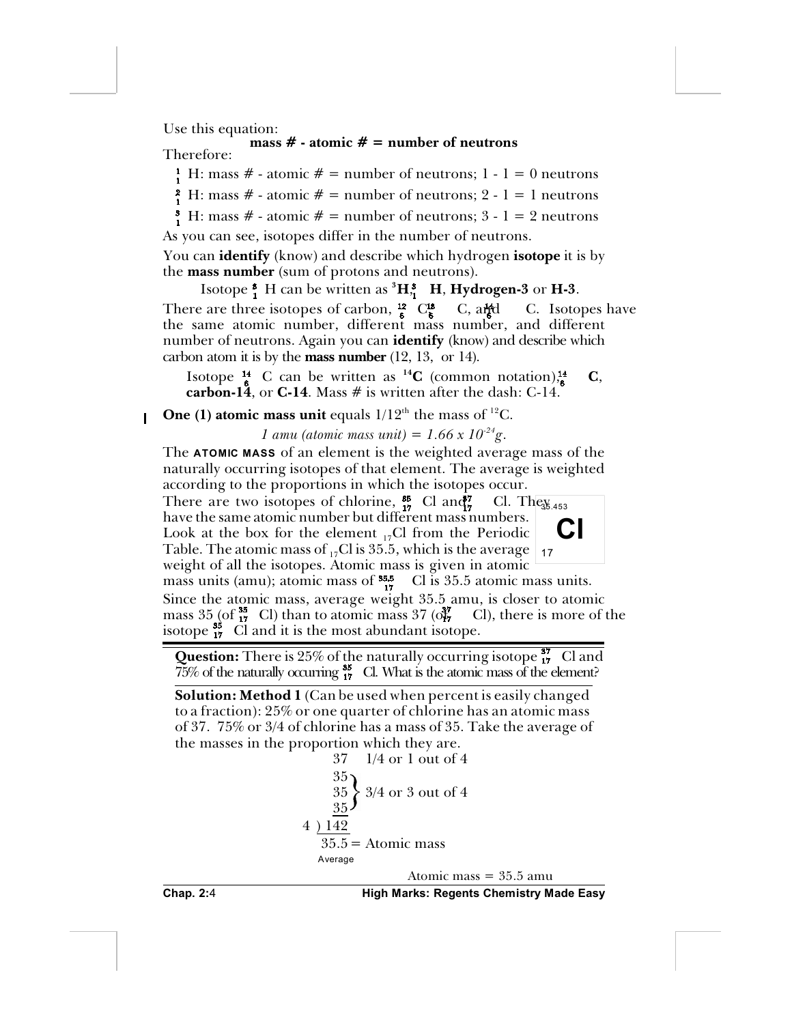Use this equation:

### **mass # - atomic # = number of neutrons** Therefore:

<sup>1</sup><sub>1</sub> H: mass # - atomic # = number of neutrons; 1 - 1 = 0 neutrons

 $_1^2$  H: mass # - atomic # = number of neutrons; 2 - 1 = 1 neutrons

 $\frac{3}{1}$  H: mass # - atomic # = number of neutrons; 3 - 1 = 2 neutrons As you can see, isotopes differ in the number of neutrons.

You can **identify** (know) and describe which hydrogen **isotope** it is by the **mass number** (sum of protons and neutrons).

Isotope  $\frac{3}{1}$  H can be written as  ${}^3H_2^3$  **H**, **Hydrogen-3** or **H-3**. There are three isotopes of carbon,  $\frac{12}{6}$  C,  $\frac{13}{6}$  C, and C. Isotopes have the same atomic number, different mass number, and different number of neutrons. Again you can **identify** (know) and describe which carbon atom it is by the **mass number** (12, 13, or 14).

Isotope  $^{14}_{6}$  C can be written as <sup>14</sup>C (common notation) $^{14}_{6}$  C, **carbon-14**, or **C-14**. Mass  $#$  is written after the dash: C-14.

**One (1) atomic mass unit** equals  $1/12<sup>th</sup>$  the mass of <sup>12</sup>C.  $\overline{\phantom{a}}$ 

*1 amu (atomic mass unit)* = 1.66 x  $10^{-24}$ g.

The **ATOMIC MASS** of an element is the weighted average mass of the naturally occurring isotopes of that element. The average is weighted according to the proportions in which the isotopes occur.

Cl. The  $\frac{1}{35.453}$ There are two isotopes of chlorine,  $^{35}_{17}$  Cl and  $^{77}_{7}$  Cl. They have the same atomic number but different mass numbers. Look at the box for the element  $_{17}$ Cl from the Periodic Table. The atomic mass of  $_{17}$ Cl is 35.5, which is the average weight of all the isotopes. Atomic mass is given in atomic



mass units (amu); atomic mass of  $^{35.5}_{17}$  Cl is 35.5 atomic mass units. Since the atomic mass, average weight 35.5 amu, is closer to atomic mass  $35$  (of  $^{35}_{17}$  Cl) than to atomic mass  $37$  (or  $^{37}_{17}$  Cl), there is more of the isotope  $^{38}_{17}$  Cl and it is the most abundant isotope.

**Question:** There is  $25\%$  of the naturally occurring isotope  $\frac{37}{17}$  Cl and  $\frac{75}{6}$  of the naturally occurring  $\frac{35}{17}$  Cl. What is the atomic mass of the element?

**Solution: Method 1** (Can be used when percent is easily changed to a fraction): 25% or one quarter of chlorine has an atomic mass of 37. 75% or 3/4 of chlorine has a mass of 35. Take the average of the masses in the proportion which they are.

```
37 1/4 or 1 out of 4
     35
     35
     35
          3/4 or 3 out of 4
4 ) 142
   35.5 = Atomic mass
  Average
                 Atomic mass = 35.5 amu
```
**Chap. 2:**4 **High Marks: Regents Chemistry Made Easy**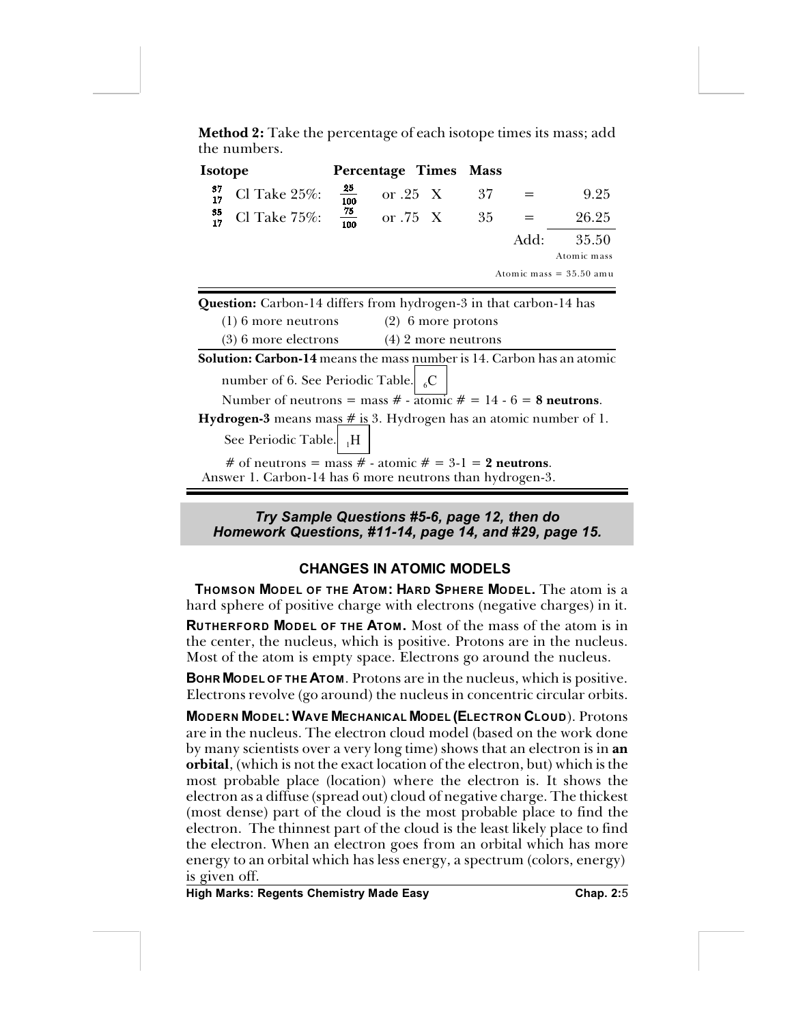**Method 2:** Take the percentage of each isotope times its mass; add the numbers.

| <b>Isotope</b> |                                                                                                                   |                  | Percentage Times     | <b>Mass</b> |      |                           |
|----------------|-------------------------------------------------------------------------------------------------------------------|------------------|----------------------|-------------|------|---------------------------|
| 37<br>17       | Cl Take $25\%$ :                                                                                                  | $\frac{25}{100}$ | or $.25$ X           | 37          |      | 9.25                      |
| 35<br>17       | Cl Take $75\%$ :                                                                                                  | $\frac{75}{100}$ | or $.75\text{ X}$    | 35          |      | 26.25                     |
|                |                                                                                                                   |                  |                      |             | Add: | 35.50                     |
|                |                                                                                                                   |                  |                      |             |      | Atomic mass               |
|                |                                                                                                                   |                  |                      |             |      | Atomic mass $= 35.50$ amu |
|                | <b>Question:</b> Carbon-14 differs from hydrogen-3 in that carbon-14 has                                          |                  |                      |             |      |                           |
|                | $(1)$ 6 more neutrons                                                                                             |                  | $(2)$ 6 more protons |             |      |                           |
|                | $(3)$ 6 more electrons $(4)$ 2 more neutrons                                                                      |                  |                      |             |      |                           |
|                | <b>Solution: Carbon-14</b> means the mass number is 14. Carbon has an atomic                                      |                  |                      |             |      |                           |
|                | number of 6. See Periodic Table. $\int_{6}^{6} C$                                                                 |                  |                      |             |      |                           |
|                | Number of neutrons = mass # - $\overline{atomic}$ # = 14 - 6 = 8 neutrons.                                        |                  |                      |             |      |                           |
|                | <b>Hydrogen-3</b> means mass $\#$ is 3. Hydrogen has an atomic number of 1.                                       |                  |                      |             |      |                           |
|                | See Periodic Table. H                                                                                             |                  |                      |             |      |                           |
|                | # of neutrons = mass # - atomic # = 3-1 = 2 neutrons.<br>Answer 1. Carbon-14 has 6 more neutrons than hydrogen-3. |                  |                      |             |      |                           |

*Try Sample Questions #5-6, page 12, then do Homework Questions, #11-14, page 14, and #29, page 15.*

# **CHANGES IN ATOMIC MODELS**

 **THOMSON MODEL OF THE ATOM: HARD SPHERE MODEL.** The atom is a hard sphere of positive charge with electrons (negative charges) in it.

**RUTHERFORD MODEL OF THE ATOM.** Most of the mass of the atom is in the center, the nucleus, which is positive. Protons are in the nucleus. Most of the atom is empty space. Electrons go around the nucleus.

**BOHR MODEL OF THE ATOM**. Protons are in the nucleus, which is positive. Electrons revolve (go around) the nucleus in concentric circular orbits.

**MODERN MODEL:WAVE MECHANICAL MODEL (ELECTRON CLOUD**). Protons are in the nucleus. The electron cloud model (based on the work done by many scientists over a very long time) shows that an electron is in **an orbital**, (which is not the exact location of the electron, but) which is the most probable place (location) where the electron is. It shows the electron as a diffuse (spread out) cloud of negative charge. The thickest (most dense) part of the cloud is the most probable place to find the electron. The thinnest part of the cloud is the least likely place to find the electron. When an electron goes from an orbital which has more energy to an orbital which has less energy, a spectrum (colors, energy) is given off.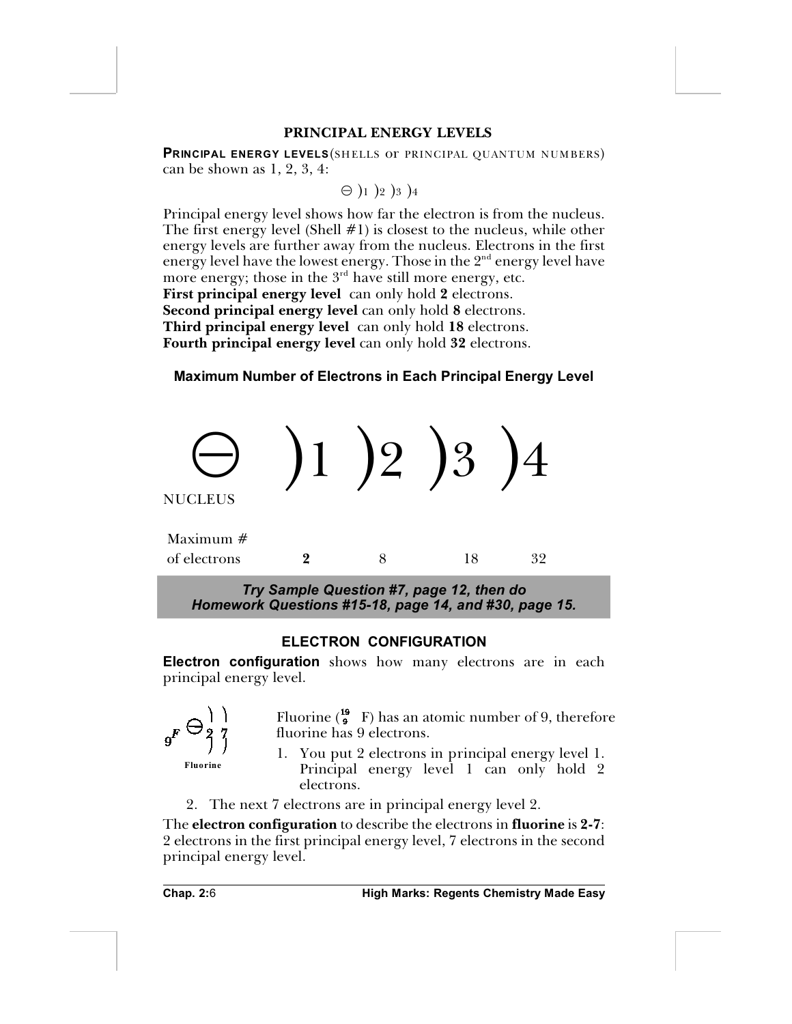#### **PRINCIPAL ENERGY LEVELS**

**PRINCIPAL ENERGY LEVELS**(SHELLS or PRINCIPAL QUANTUM NUMBERS) can be shown as 1, 2, 3, 4:

$$
\ominus )_1 )_2 )_3 )_4
$$

Principal energy level shows how far the electron is from the nucleus. The first energy level (Shell  $#1$ ) is closest to the nucleus, while other energy levels are further away from the nucleus. Electrons in the first energy level have the lowest energy. Those in the  $2<sup>nd</sup>$  energy level have more energy; those in the  $3<sup>rd</sup>$  have still more energy, etc. **First principal energy level** can only hold **2** electrons. **Second principal energy level** can only hold **8** electrons. **Third principal energy level** can only hold **18** electrons. **Fourth principal energy level** can only hold **32** electrons.

# **Maximum Number of Electrons in Each Principal Energy Level**



*Homework Questions #15-18, page 14, and #30, page 15.*

# **ELECTRON CONFIGURATION**

**Electron configuration** shows how many electrons are in each principal energy level.



Fluorine  $\binom{19}{9}$  F) has an atomic number of 9, therefore fluorine has 9 electrons.

**Fluorine**

1. You put 2 electrons in principal energy level 1. Principal energy level 1 can only hold 2

- electrons.
- 2. The next 7 electrons are in principal energy level 2.

The **electron configuration** to describe the electrons in **fluorine** is **2-7**: 2 electrons in the first principal energy level, 7 electrons in the second principal energy level.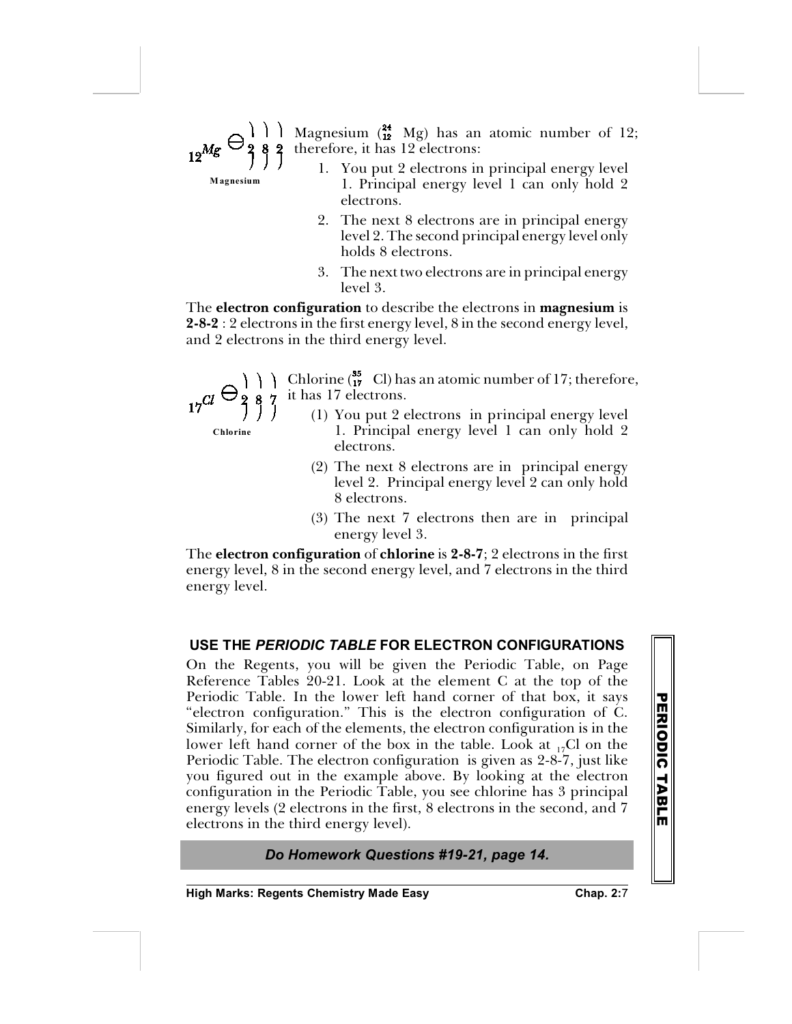# Magnesium  $\binom{24}{12}$  Mg) has an atomic number of 12; therefore, it has 12 electrons:

- 1. You put 2 electrons in principal energy level 1. Principal energy level 1 can only hold 2 electrons.
- 2. The next 8 electrons are in principal energy level 2. The second principal energy level only holds 8 electrons.
- 3. The next two electrons are in principal energy level 3.

The **electron configuration** to describe the electrons in **magnesium** is **2-8-2** : 2 electrons in the first energy level, 8 in the second energy level, and 2 electrons in the third energy level.

**Chlorine**

**M agnesium**

 $\bigcap$  Chlorine ( $_{17}^{35}$  Cl) has an atomic number of 17; therefore, it has 17 electrons.

- (1) You put 2 electrons in principal energy level 1. Principal energy level 1 can only hold 2 electrons.
- (2) The next 8 electrons are in principal energy level 2. Principal energy level 2 can only hold 8 electrons.
- (3) The next 7 electrons then are in principal energy level 3.

The **electron configuration** of **chlorine** is **2-8-7**; 2 electrons in the first energy level, 8 in the second energy level, and 7 electrons in the third energy level.

# **USE THE** *PERIODIC TABLE* **FOR ELECTRON CONFIGURATIONS**

On the Regents, you will be given the Periodic Table, on Page Reference Tables 20-21. Look at the element C at the top of the Periodic Table. In the lower left hand corner of that box, it says "electron configuration." This is the electron configuration of C. Similarly, for each of the elements, the electron configuration is in the lower left hand corner of the box in the table. Look at  $_{17}$ Cl on the Periodic Table. The electron configuration is given as 2-8-7, just like you figured out in the example above. By looking at the electron configuration in the Periodic Table, you see chlorine has 3 principal energy levels (2 electrons in the first, 8 electrons in the second, and 7 electrons in the third energy level).

# *Do Homework Questions #19-21, page 14.*

**High Marks: Regents Chemistry Made Easy Chap. 2:**7

**P E RIO**

**DIC**

**T A**

**B L E**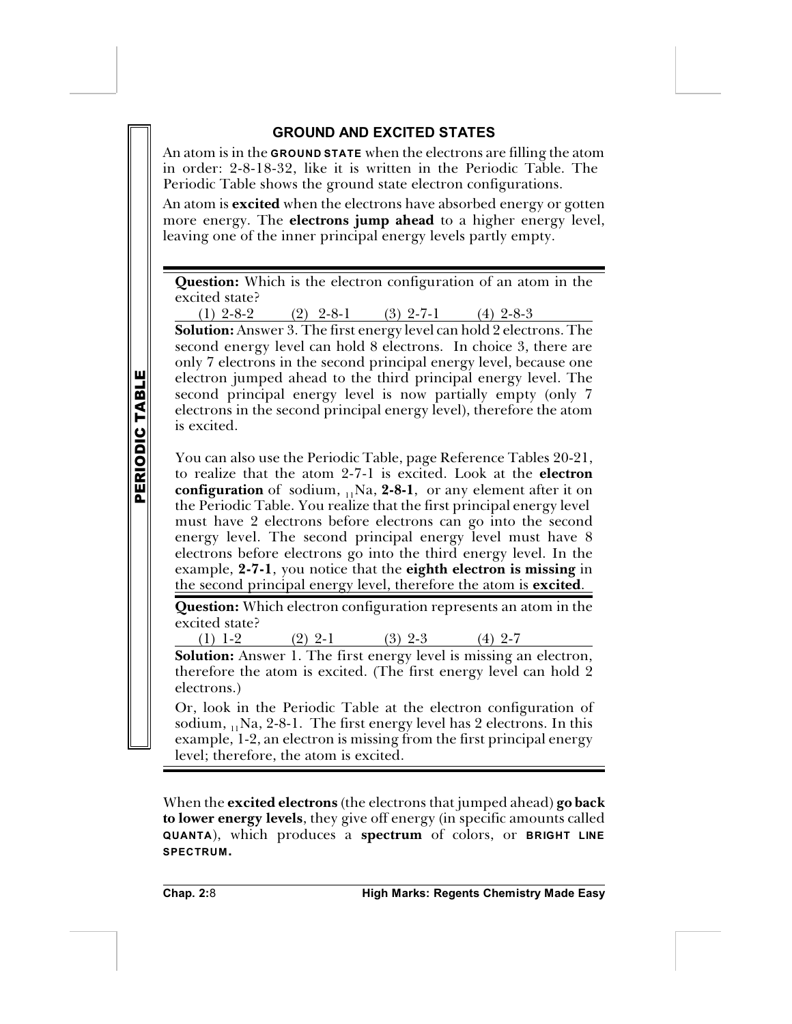# **GROUND AND EXCITED STATES**

An atom is in the **GROUND STATE** when the electrons are filling the atom in order: 2-8-18-32, like it is written in the Periodic Table. The Periodic Table shows the ground state electron configurations.

An atom is **excited** when the electrons have absorbed energy or gotten more energy. The **electrons jump ahead** to a higher energy level, leaving one of the inner principal energy levels partly empty.

**Question:** Which is the electron configuration of an atom in the excited state?

(1)  $2-8-2$  (2)  $2-8-1$  (3)  $2-7-1$  (4)  $2-8-3$ 

**Solution:** Answer 3. The first energy level can hold 2 electrons. The second energy level can hold 8 electrons. In choice 3, there are only 7 electrons in the second principal energy level, because one electron jumped ahead to the third principal energy level. The second principal energy level is now partially empty (only 7 electrons in the second principal energy level), therefore the atom is excited.

You can also use the Periodic Table, page Reference Tables 20-21, to realize that the atom 2-7-1 is excited. Look at the **electron configuration** of sodium, <sub>11</sub>Na, 2-8-1, or any element after it on the Periodic Table. You realize that the first principal energy level must have 2 electrons before electrons can go into the second energy level. The second principal energy level must have 8 electrons before electrons go into the third energy level. In the example, **2-7-1**, you notice that the **eighth electron is missing** in the second principal energy level, therefore the atom is **excited**.

**Question:** Which electron configuration represents an atom in the excited state?

(1) 1-2 (2) 2-1 (3) 2-3 (4) 2-7

**Solution:** Answer 1. The first energy level is missing an electron, therefore the atom is excited. (The first energy level can hold 2 electrons.)

Or, look in the Periodic Table at the electron configuration of sodium,  $_{11}$ Na, 2-8-1. The first energy level has 2 electrons. In this example, 1-2, an electron is missing from the first principal energy level; therefore, the atom is excited.

When the **excited electrons** (the electrons that jumped ahead) **go back to lower energy levels**, they give off energy (in specific amounts called **QUANTA**), which produces a **spectrum** of colors, or **BRIGHT LINE SPECTRUM.**

**P**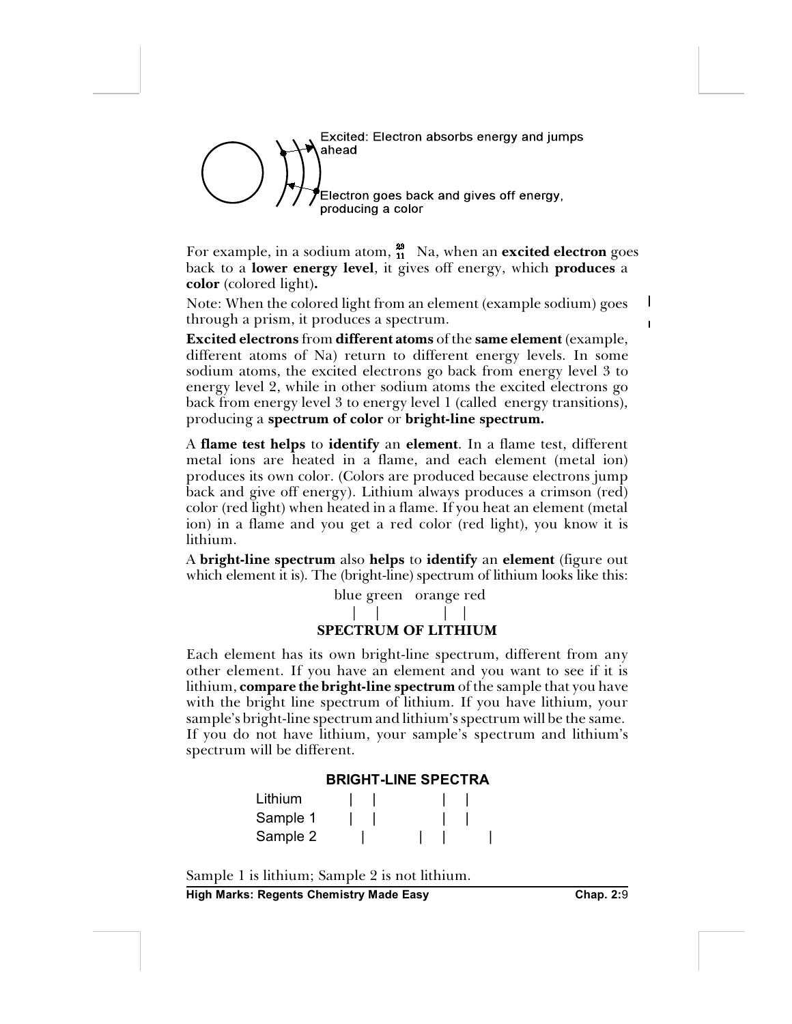

For example, in a sodium atom,  $^{28}_{11}$  Na, when an **excited electron** goes back to a **lower energy level**, it gives off energy, which **produces** a **color** (colored light)**.**

Note: When the colored light from an element (example sodium) goes through a prism, it produces a spectrum.

**Excited electrons** from **different atoms** of the **same element** (example, different atoms of Na) return to different energy levels. In some sodium atoms, the excited electrons go back from energy level 3 to energy level 2, while in other sodium atoms the excited electrons go back from energy level 3 to energy level 1 (called energy transitions), producing a **spectrum of color** or **bright-line spectrum.**

A **flame test helps** to **identify** an **element**. In a flame test, different metal ions are heated in a flame, and each element (metal ion) produces its own color. (Colors are produced because electrons jump back and give off energy). Lithium always produces a crimson (red) color (red light) when heated in a flame. If you heat an element (metal ion) in a flame and you get a red color (red light), you know it is lithium.

A **bright-line spectrum** also **helps** to **identify** an **element** (figure out which element it is). The (bright-line) spectrum of lithium looks like this:

> blue green orange red | | | |

# **SPECTRUM OF LITHIUM**

Each element has its own bright-line spectrum, different from any other element. If you have an element and you want to see if it is lithium, **compare the bright-line spectrum** of the sample that you have with the bright line spectrum of lithium. If you have lithium, your sample's bright-line spectrum and lithium's spectrum will be the same. If you do not have lithium, your sample's spectrum and lithium's spectrum will be different.

#### **BRIGHT-LINE SPECTRA**

| Lithium  |  |  |  |
|----------|--|--|--|
| Sample 1 |  |  |  |
| Sample 2 |  |  |  |

Sample 1 is lithium; Sample 2 is not lithium.

**High Marks: Regents Chemistry Made Easy Chap. 2:**9

 $\mathbf{I}$  $\blacksquare$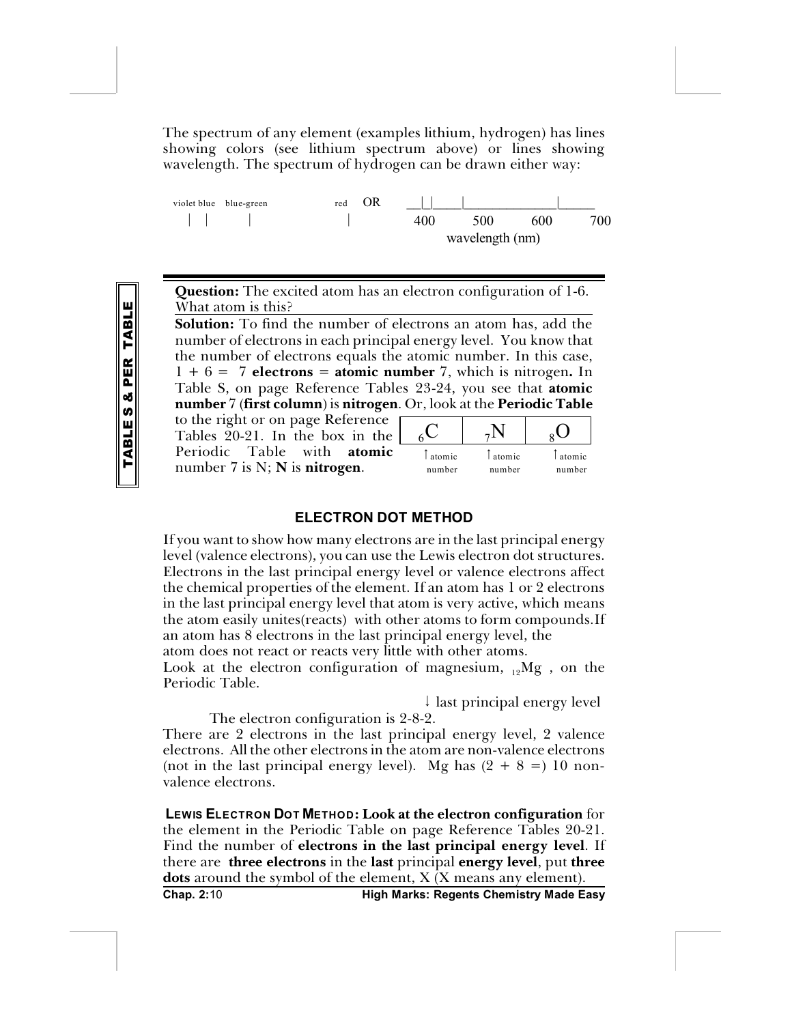The spectrum of any element (examples lithium, hydrogen) has lines showing colors (see lithium spectrum above) or lines showing wavelength. The spectrum of hydrogen can be drawn either way:



**Question:** The excited atom has an electron configuration of 1-6. What atom is this?

**Solution:** To find the number of electrons an atom has, add the number of electrons in each principal energy level. You know that the number of electrons equals the atomic number. In this case,  $1 + 6 = 7$  **electrons** = **atomic** number 7, which is nitrogen. In Table S, on page Reference Tables 23-24, you see that **atomic number** 7 (**first column**) is **nitrogen**. Or, look at the **Periodic Table**

to the right or on page Reference Tables 20-21. In the box in the Periodic Table with **atomic** number 7 is N; **N** is **nitrogen**.

| atomic | atomic | atomic |
|--------|--------|--------|
| number | number | number |

#### **ELECTRON DOT METHOD**

If you want to show how many electrons are in the last principal energy level (valence electrons), you can use the Lewis electron dot structures. Electrons in the last principal energy level or valence electrons affect the chemical properties of the element. If an atom has 1 or 2 electrons in the last principal energy level that atom is very active, which means the atom easily unites(reacts) with other atoms to form compounds.If an atom has 8 electrons in the last principal energy level, the

atom does not react or reacts very little with other atoms.

Look at the electron configuration of magnesium,  $_{12}Mg$  , on the Periodic Table.

 $\downarrow$  last principal energy level

The electron configuration is 2-8-2. There are 2 electrons in the last principal energy level, 2 valence electrons. All the other electrons in the atom are non-valence electrons (not in the last principal energy level). Mg has  $(2 + 8 =) 10$  nonvalence electrons.

**LEWIS ELECTRON DOT METHOD: Look at the electron configuration** for the element in the Periodic Table on page Reference Tables 20-21. Find the number of **electrons in the last principal energy level**. If there are **three electrons** in the **last** principal **energy level**, put **three dots** around the symbol of the element, X (X means any element).

**Chap. 2:**10 **High Marks: Regents Chemistry Made Easy**